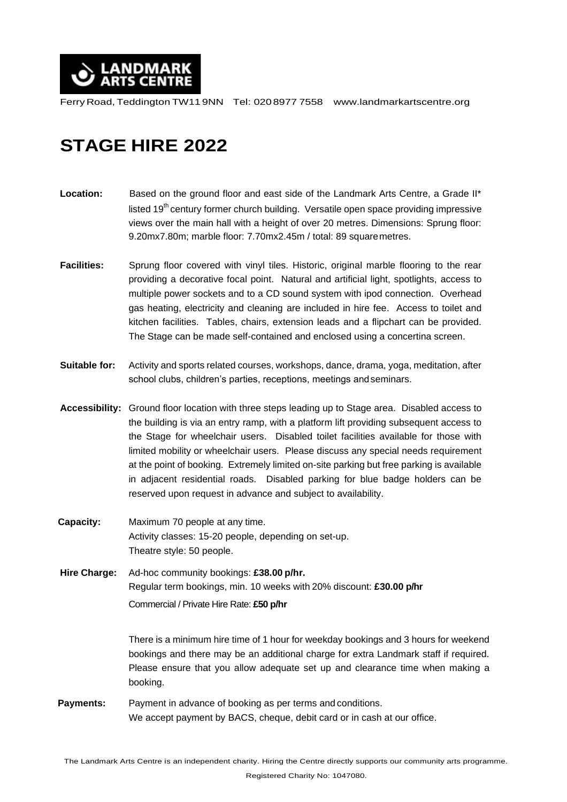

Ferry Road,Teddington TW11 9NN Tel: 0208977 7558 [www.landmarkartscentre.org](http://www.landmarkartscentre.org/)

## **STAGE HIRE 2022**

- **Location:** Based on the ground floor and east side of the Landmark Arts Centre, a Grade II\* listed 19<sup>th</sup> century former church building. Versatile open space providing impressive views over the main hall with a height of over 20 metres. Dimensions: Sprung floor: 9.20mx7.80m; marble floor: 7.70mx2.45m / total: 89 squaremetres.
- Facilities: Sprung floor covered with vinyl tiles. Historic, original marble flooring to the rear providing a decorative focal point. Natural and artificial light, spotlights, access to multiple power sockets and to a CD sound system with ipod connection. Overhead gas heating, electricity and cleaning are included in hire fee. Access to toilet and kitchen facilities. Tables, chairs, extension leads and a flipchart can be provided. The Stage can be made self-contained and enclosed using a concertina screen.
- **Suitable for:** Activity and sports related courses, workshops, dance, drama, yoga, meditation, after school clubs, children's parties, receptions, meetings andseminars.
- **Accessibility:** Ground floor location with three steps leading up to Stage area. Disabled access to the building is via an entry ramp, with a platform lift providing subsequent access to the Stage for wheelchair users. Disabled toilet facilities available for those with limited mobility or wheelchair users. Please discuss any special needs requirement at the point of booking. Extremely limited on-site parking but free parking is available in adjacent residential roads. Disabled parking for blue badge holders can be reserved upon request in advance and subject to availability.
- **Capacity:** Maximum 70 people at any time. Activity classes: 15-20 people, depending on set-up. Theatre style: 50 people.
- **Hire Charge:** Ad-hoc community bookings: **£38.00 p/hr.** Regular term bookings, min. 10 weeks with 20% discount: **£30.00 p/hr** Commercial / Private Hire Rate: **£50 p/hr**

There is a minimum hire time of 1 hour for weekday bookings and 3 hours for weekend bookings and there may be an additional charge for extra Landmark staff if required. Please ensure that you allow adequate set up and clearance time when making a booking.

 **Payments:** Payment in advance of booking as per terms and conditions. We accept payment by BACS, cheque, debit card or in cash at our office.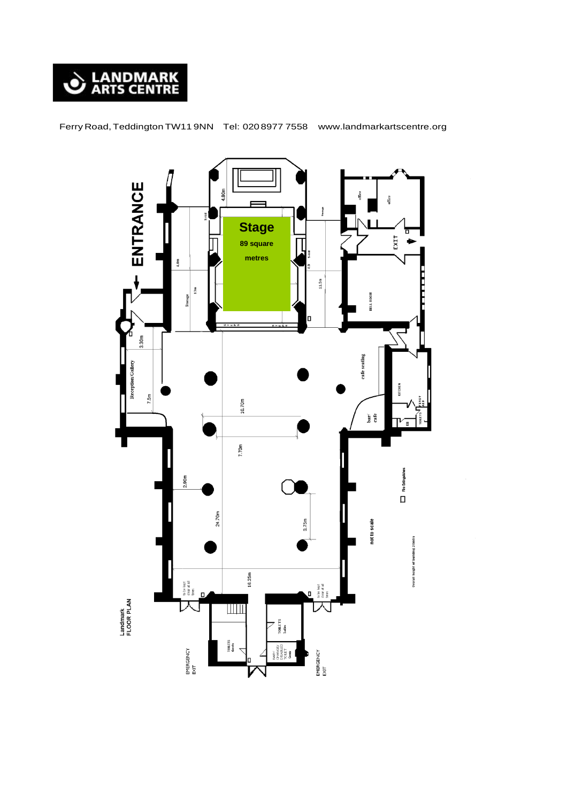